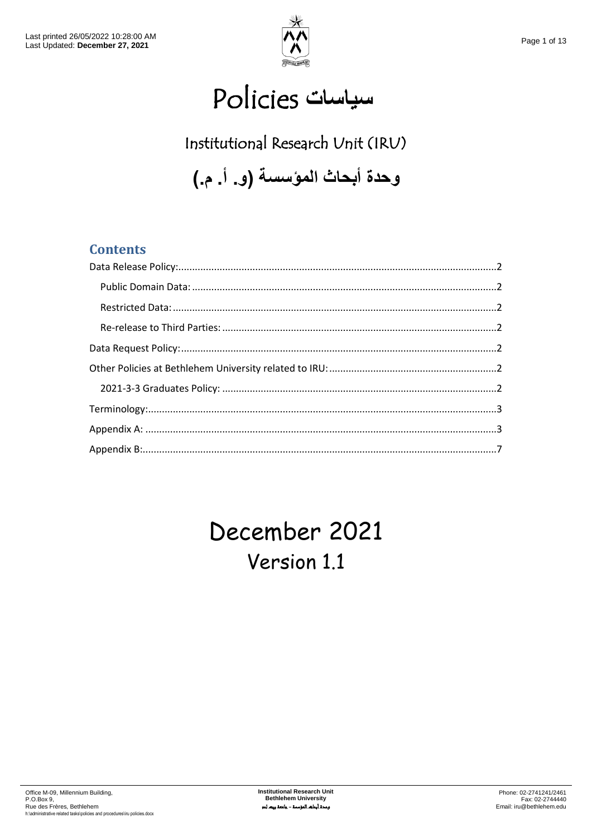

# **سياسات** Policies

# Institutional Research Unit (IRU)

**وحدة أبحاث المؤسسة )و. أ. م.(**

#### **Contents**

# December 2021 Version 1.1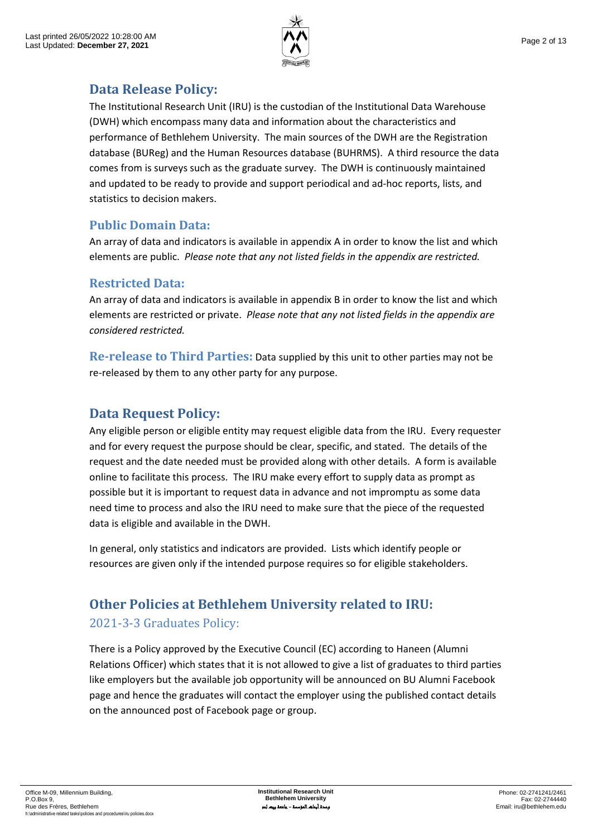

### <span id="page-1-0"></span>**Data Release Policy:**

The Institutional Research Unit (IRU) is the custodian of the Institutional Data Warehouse (DWH) which encompass many data and information about the characteristics and performance of Bethlehem University. The main sources of the DWH are the Registration database (BUReg) and the Human Resources database (BUHRMS). A third resource the data comes from is surveys such as the graduate survey. The DWH is continuously maintained and updated to be ready to provide and support periodical and ad-hoc reports, lists, and statistics to decision makers.

#### <span id="page-1-1"></span>**Public Domain Data:**

An array of data and indicators is available in appendix A in order to know the list and which elements are public. *Please note that any not listed fields in the appendix are restricted.*

#### <span id="page-1-2"></span>**Restricted Data:**

An array of data and indicators is available in appendix B in order to know the list and which elements are restricted or private. *Please note that any not listed fields in the appendix are considered restricted.*

<span id="page-1-3"></span>**Re-release to Third Parties:** Data supplied by this unit to other parties may not be re-released by them to any other party for any purpose.

## <span id="page-1-4"></span>**Data Request Policy:**

Any eligible person or eligible entity may request eligible data from the IRU. Every requester and for every request the purpose should be clear, specific, and stated. The details of the request and the date needed must be provided along with other details. A form is available online to facilitate this process. The IRU make every effort to supply data as prompt as possible but it is important to request data in advance and not impromptu as some data need time to process and also the IRU need to make sure that the piece of the requested data is eligible and available in the DWH.

In general, only statistics and indicators are provided. Lists which identify people or resources are given only if the intended purpose requires so for eligible stakeholders.

# <span id="page-1-5"></span>**Other Policies at Bethlehem University related to IRU:**

#### <span id="page-1-6"></span>2021-3-3 Graduates Policy:

There is a Policy approved by the Executive Council (EC) according to Haneen (Alumni Relations Officer) which states that it is not allowed to give a list of graduates to third parties like employers but the available job opportunity will be announced on BU Alumni Facebook page and hence the graduates will contact the employer using the published contact details on the announced post of Facebook page or group.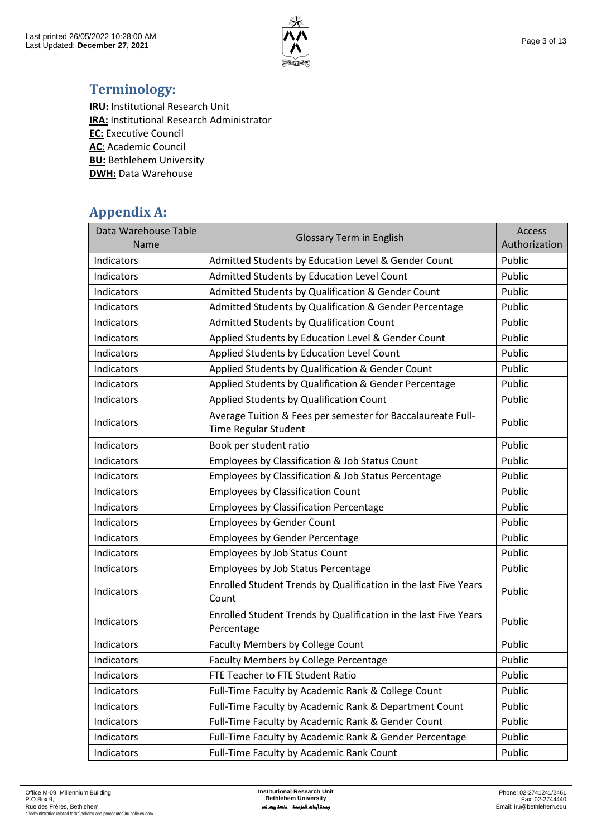

## <span id="page-2-0"></span>**Terminology:**

**IRU:** Institutional Research Unit **IRA:** Institutional Research Administrator **EC:** Executive Council **AC**: Academic Council **BU:** Bethlehem University **DWH:** Data Warehouse

### <span id="page-2-1"></span>**Appendix A:**

| Data Warehouse Table<br>Name | <b>Glossary Term in English</b>                                                     | Access<br>Authorization |
|------------------------------|-------------------------------------------------------------------------------------|-------------------------|
| Indicators                   | Admitted Students by Education Level & Gender Count                                 | Public                  |
| <b>Indicators</b>            | Admitted Students by Education Level Count                                          | Public                  |
| Indicators                   | Admitted Students by Qualification & Gender Count                                   | Public                  |
| Indicators                   | Admitted Students by Qualification & Gender Percentage                              | Public                  |
| Indicators                   | Admitted Students by Qualification Count                                            | Public                  |
| Indicators                   | Applied Students by Education Level & Gender Count                                  | Public                  |
| Indicators                   | Applied Students by Education Level Count                                           | Public                  |
| Indicators                   | Applied Students by Qualification & Gender Count                                    | Public                  |
| Indicators                   | Applied Students by Qualification & Gender Percentage                               | Public                  |
| Indicators                   | Applied Students by Qualification Count                                             | Public                  |
| Indicators                   | Average Tuition & Fees per semester for Baccalaureate Full-<br>Time Regular Student | Public                  |
| Indicators                   | Book per student ratio                                                              | Public                  |
| Indicators                   | Employees by Classification & Job Status Count                                      | Public                  |
| Indicators                   | Employees by Classification & Job Status Percentage                                 | Public                  |
| Indicators                   | <b>Employees by Classification Count</b>                                            | Public                  |
| Indicators                   | <b>Employees by Classification Percentage</b>                                       | Public                  |
| Indicators                   | <b>Employees by Gender Count</b>                                                    | Public                  |
| Indicators                   | <b>Employees by Gender Percentage</b>                                               | Public                  |
| Indicators                   | Employees by Job Status Count                                                       | Public                  |
| Indicators                   | Employees by Job Status Percentage                                                  | Public                  |
| Indicators                   | Enrolled Student Trends by Qualification in the last Five Years<br>Count            | Public                  |
| Indicators                   | Enrolled Student Trends by Qualification in the last Five Years<br>Percentage       | Public                  |
| <b>Indicators</b>            | <b>Faculty Members by College Count</b>                                             | Public                  |
| Indicators                   | Faculty Members by College Percentage                                               | Public                  |
| Indicators                   | FTE Teacher to FTE Student Ratio                                                    | Public                  |
| Indicators                   | Full-Time Faculty by Academic Rank & College Count                                  | Public                  |
| Indicators                   | Full-Time Faculty by Academic Rank & Department Count                               | Public                  |
| Indicators                   | Full-Time Faculty by Academic Rank & Gender Count                                   | Public                  |
| Indicators                   | Full-Time Faculty by Academic Rank & Gender Percentage                              | Public                  |
| Indicators                   | Full-Time Faculty by Academic Rank Count                                            | Public                  |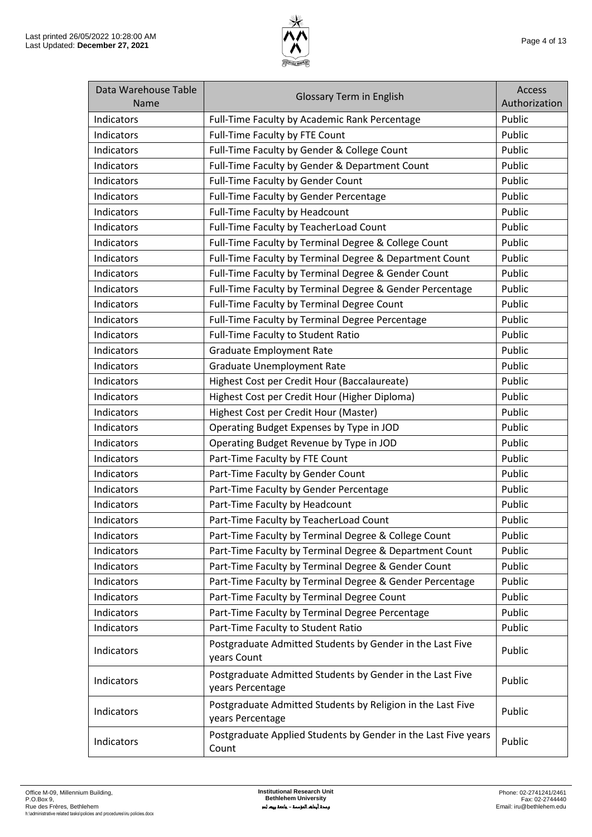

| Data Warehouse Table<br><b>Name</b> | <b>Glossary Term in English</b>                                                 | <b>Access</b><br>Authorization |
|-------------------------------------|---------------------------------------------------------------------------------|--------------------------------|
| Indicators                          | Full-Time Faculty by Academic Rank Percentage                                   | Public                         |
| Indicators                          | Full-Time Faculty by FTE Count                                                  | Public                         |
| Indicators                          | Full-Time Faculty by Gender & College Count                                     | Public                         |
| Indicators                          | Full-Time Faculty by Gender & Department Count                                  | Public                         |
| Indicators                          | Full-Time Faculty by Gender Count                                               | Public                         |
| Indicators                          | Full-Time Faculty by Gender Percentage                                          | Public                         |
| Indicators                          | Full-Time Faculty by Headcount                                                  | Public                         |
| Indicators                          | Full-Time Faculty by TeacherLoad Count                                          | Public                         |
| Indicators                          | Full-Time Faculty by Terminal Degree & College Count                            | Public                         |
| Indicators                          | Full-Time Faculty by Terminal Degree & Department Count                         | Public                         |
| Indicators                          | Full-Time Faculty by Terminal Degree & Gender Count                             | Public                         |
| Indicators                          | Full-Time Faculty by Terminal Degree & Gender Percentage                        | Public                         |
| Indicators                          | Full-Time Faculty by Terminal Degree Count                                      | Public                         |
| Indicators                          | Full-Time Faculty by Terminal Degree Percentage                                 | Public                         |
| Indicators                          | Full-Time Faculty to Student Ratio                                              | Public                         |
| <b>Indicators</b>                   | <b>Graduate Employment Rate</b>                                                 | Public                         |
| Indicators                          | <b>Graduate Unemployment Rate</b>                                               | Public                         |
| Indicators                          | Highest Cost per Credit Hour (Baccalaureate)                                    | Public                         |
| Indicators                          | Highest Cost per Credit Hour (Higher Diploma)                                   | Public                         |
| Indicators                          | Highest Cost per Credit Hour (Master)                                           | Public                         |
| Indicators                          | Operating Budget Expenses by Type in JOD                                        | Public                         |
| Indicators                          | Operating Budget Revenue by Type in JOD                                         | Public                         |
| Indicators                          | Part-Time Faculty by FTE Count                                                  | Public                         |
| Indicators                          | Part-Time Faculty by Gender Count                                               | Public                         |
| Indicators                          | Part-Time Faculty by Gender Percentage                                          | Public                         |
| Indicators                          | Part-Time Faculty by Headcount                                                  | Public                         |
| Indicators                          | Part-Time Faculty by TeacherLoad Count                                          | Public                         |
| Indicators                          | Part-Time Faculty by Terminal Degree & College Count                            | Public                         |
| Indicators                          | Part-Time Faculty by Terminal Degree & Department Count                         | Public                         |
| Indicators                          | Part-Time Faculty by Terminal Degree & Gender Count                             | Public                         |
| Indicators                          | Part-Time Faculty by Terminal Degree & Gender Percentage                        | Public                         |
| Indicators                          | Part-Time Faculty by Terminal Degree Count                                      | Public                         |
| Indicators                          | Part-Time Faculty by Terminal Degree Percentage                                 | Public                         |
| Indicators                          | Part-Time Faculty to Student Ratio                                              | Public                         |
| Indicators                          | Postgraduate Admitted Students by Gender in the Last Five<br>years Count        | Public                         |
| Indicators                          | Postgraduate Admitted Students by Gender in the Last Five<br>years Percentage   | Public                         |
| Indicators                          | Postgraduate Admitted Students by Religion in the Last Five<br>years Percentage | Public                         |
| Indicators                          | Postgraduate Applied Students by Gender in the Last Five years<br>Count         | Public                         |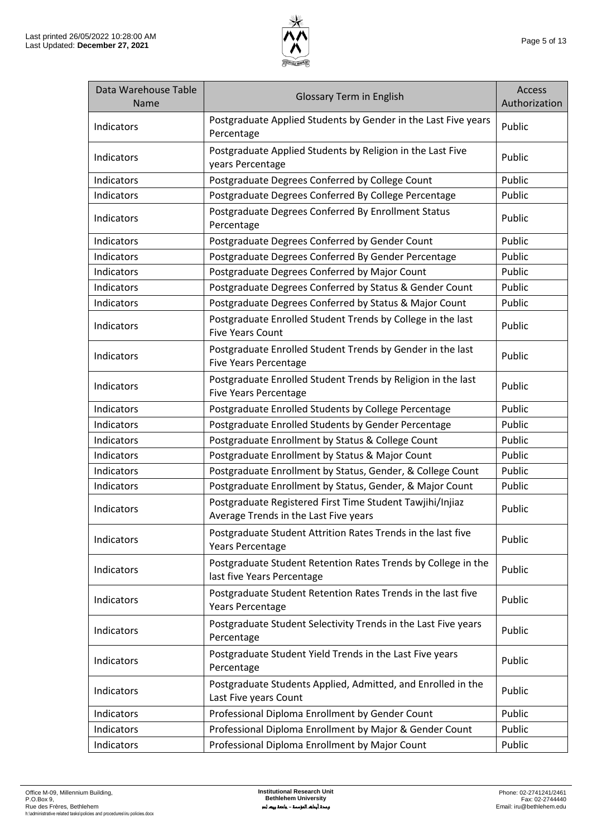

| Data Warehouse Table<br><b>Name</b> | <b>Glossary Term in English</b>                                                                    | <b>Access</b><br>Authorization |
|-------------------------------------|----------------------------------------------------------------------------------------------------|--------------------------------|
| Indicators                          | Postgraduate Applied Students by Gender in the Last Five years<br>Percentage                       | Public                         |
| Indicators                          | Postgraduate Applied Students by Religion in the Last Five<br>years Percentage                     | Public                         |
| Indicators                          | Postgraduate Degrees Conferred by College Count                                                    | Public                         |
| Indicators                          | Postgraduate Degrees Conferred By College Percentage                                               | Public                         |
| Indicators                          | Postgraduate Degrees Conferred By Enrollment Status<br>Percentage                                  | Public                         |
| Indicators                          | Postgraduate Degrees Conferred by Gender Count                                                     | Public                         |
| Indicators                          | Postgraduate Degrees Conferred By Gender Percentage                                                | Public                         |
| Indicators                          | Postgraduate Degrees Conferred by Major Count                                                      | Public                         |
| Indicators                          | Postgraduate Degrees Conferred by Status & Gender Count                                            | Public                         |
| Indicators                          | Postgraduate Degrees Conferred by Status & Major Count                                             | Public                         |
| Indicators                          | Postgraduate Enrolled Student Trends by College in the last<br><b>Five Years Count</b>             | Public                         |
| Indicators                          | Postgraduate Enrolled Student Trends by Gender in the last<br><b>Five Years Percentage</b>         | Public                         |
| Indicators                          | Postgraduate Enrolled Student Trends by Religion in the last<br><b>Five Years Percentage</b>       | Public                         |
| Indicators                          | Postgraduate Enrolled Students by College Percentage                                               | Public                         |
| Indicators                          | Postgraduate Enrolled Students by Gender Percentage                                                | Public                         |
| Indicators                          | Postgraduate Enrollment by Status & College Count                                                  | Public                         |
| Indicators                          | Postgraduate Enrollment by Status & Major Count                                                    | Public                         |
| Indicators                          | Postgraduate Enrollment by Status, Gender, & College Count                                         | Public                         |
| Indicators                          | Postgraduate Enrollment by Status, Gender, & Major Count                                           | Public                         |
| Indicators                          | Postgraduate Registered First Time Student Tawjihi/Injiaz<br>Average Trends in the Last Five years | Public                         |
| Indicators                          | Postgraduate Student Attrition Rates Trends in the last five<br><b>Years Percentage</b>            | Public                         |
| Indicators                          | Postgraduate Student Retention Rates Trends by College in the<br>last five Years Percentage        | Public                         |
| Indicators                          | Postgraduate Student Retention Rates Trends in the last five<br><b>Years Percentage</b>            | Public                         |
| Indicators                          | Postgraduate Student Selectivity Trends in the Last Five years<br>Percentage                       | Public                         |
| Indicators                          | Postgraduate Student Yield Trends in the Last Five years<br>Percentage                             | Public                         |
| Indicators                          | Postgraduate Students Applied, Admitted, and Enrolled in the<br>Last Five years Count              | Public                         |
| Indicators                          | Professional Diploma Enrollment by Gender Count                                                    | Public                         |
| Indicators                          | Professional Diploma Enrollment by Major & Gender Count                                            | Public                         |
| Indicators                          | Professional Diploma Enrollment by Major Count                                                     | Public                         |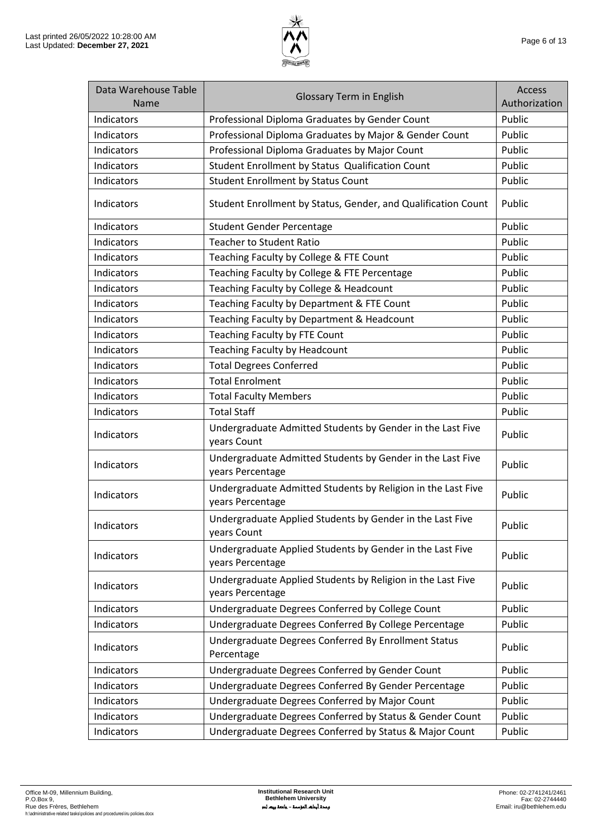

| Data Warehouse Table<br>Name | <b>Glossary Term in English</b>                                                  | Access<br>Authorization |
|------------------------------|----------------------------------------------------------------------------------|-------------------------|
| <b>Indicators</b>            | Professional Diploma Graduates by Gender Count                                   | Public                  |
| Indicators                   | Professional Diploma Graduates by Major & Gender Count                           | Public                  |
| Indicators                   | Professional Diploma Graduates by Major Count                                    | Public                  |
| Indicators                   | Student Enrollment by Status Qualification Count                                 | Public                  |
| Indicators                   | <b>Student Enrollment by Status Count</b>                                        | Public                  |
| Indicators                   | Student Enrollment by Status, Gender, and Qualification Count                    | Public                  |
| <b>Indicators</b>            | <b>Student Gender Percentage</b>                                                 | Public                  |
| Indicators                   | <b>Teacher to Student Ratio</b>                                                  | Public                  |
| Indicators                   | Teaching Faculty by College & FTE Count                                          | Public                  |
| Indicators                   | Teaching Faculty by College & FTE Percentage                                     | Public                  |
| Indicators                   | Teaching Faculty by College & Headcount                                          | Public                  |
| Indicators                   | Teaching Faculty by Department & FTE Count                                       | Public                  |
| Indicators                   | Teaching Faculty by Department & Headcount                                       | Public                  |
| Indicators                   | Teaching Faculty by FTE Count                                                    | Public                  |
| Indicators                   | <b>Teaching Faculty by Headcount</b>                                             | Public                  |
| Indicators                   | <b>Total Degrees Conferred</b>                                                   | Public                  |
| Indicators                   | <b>Total Enrolment</b>                                                           | Public                  |
| Indicators                   | <b>Total Faculty Members</b>                                                     | Public                  |
| Indicators                   | <b>Total Staff</b>                                                               | Public                  |
| Indicators                   | Undergraduate Admitted Students by Gender in the Last Five<br>years Count        | Public                  |
| Indicators                   | Undergraduate Admitted Students by Gender in the Last Five<br>years Percentage   | Public                  |
| Indicators                   | Undergraduate Admitted Students by Religion in the Last Five<br>years Percentage | Public                  |
| Indicators                   | Undergraduate Applied Students by Gender in the Last Five<br>years Count         | Public                  |
| Indicators                   | Undergraduate Applied Students by Gender in the Last Five<br>years Percentage    | Public                  |
| Indicators                   | Undergraduate Applied Students by Religion in the Last Five<br>years Percentage  | Public                  |
| Indicators                   | Undergraduate Degrees Conferred by College Count                                 | Public                  |
| Indicators                   | Undergraduate Degrees Conferred By College Percentage                            | Public                  |
| Indicators                   | Undergraduate Degrees Conferred By Enrollment Status<br>Percentage               | Public                  |
| Indicators                   | Undergraduate Degrees Conferred by Gender Count                                  | Public                  |
| Indicators                   | Undergraduate Degrees Conferred By Gender Percentage                             | Public                  |
| Indicators                   | Undergraduate Degrees Conferred by Major Count                                   | Public                  |
| Indicators                   | Undergraduate Degrees Conferred by Status & Gender Count                         | Public                  |
| Indicators                   | Undergraduate Degrees Conferred by Status & Major Count                          | Public                  |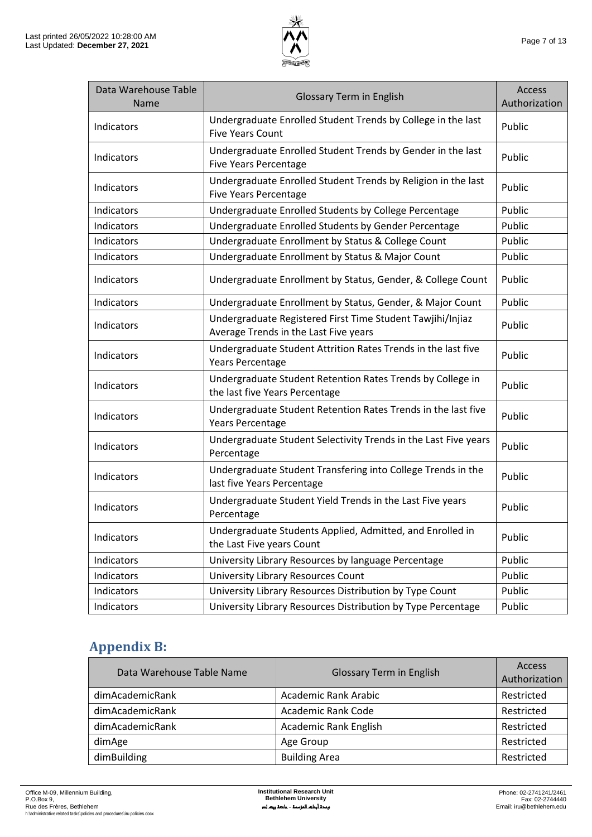

| Data Warehouse Table<br>Name | <b>Glossary Term in English</b>                                                                     | <b>Access</b><br>Authorization |
|------------------------------|-----------------------------------------------------------------------------------------------------|--------------------------------|
| Indicators                   | Undergraduate Enrolled Student Trends by College in the last<br><b>Five Years Count</b>             | Public                         |
| Indicators                   | Undergraduate Enrolled Student Trends by Gender in the last<br><b>Five Years Percentage</b>         | Public                         |
| Indicators                   | Undergraduate Enrolled Student Trends by Religion in the last<br><b>Five Years Percentage</b>       | Public                         |
| Indicators                   | Undergraduate Enrolled Students by College Percentage                                               | Public                         |
| Indicators                   | Undergraduate Enrolled Students by Gender Percentage                                                | Public                         |
| Indicators                   | Undergraduate Enrollment by Status & College Count                                                  | Public                         |
| Indicators                   | Undergraduate Enrollment by Status & Major Count                                                    | Public                         |
| Indicators                   | Undergraduate Enrollment by Status, Gender, & College Count                                         | Public                         |
| Indicators                   | Undergraduate Enrollment by Status, Gender, & Major Count                                           | Public                         |
| Indicators                   | Undergraduate Registered First Time Student Tawjihi/Injiaz<br>Average Trends in the Last Five years | Public                         |
| Indicators                   | Undergraduate Student Attrition Rates Trends in the last five<br>Years Percentage                   | Public                         |
| Indicators                   | Undergraduate Student Retention Rates Trends by College in<br>the last five Years Percentage        | Public                         |
| Indicators                   | Undergraduate Student Retention Rates Trends in the last five<br>Years Percentage                   | Public                         |
| Indicators                   | Undergraduate Student Selectivity Trends in the Last Five years<br>Percentage                       | Public                         |
| Indicators                   | Undergraduate Student Transfering into College Trends in the<br>last five Years Percentage          | Public                         |
| Indicators                   | Undergraduate Student Yield Trends in the Last Five years<br>Percentage                             | Public                         |
| Indicators                   | Undergraduate Students Applied, Admitted, and Enrolled in<br>the Last Five years Count              | Public                         |
| Indicators                   | University Library Resources by language Percentage                                                 | Public                         |
| Indicators                   | University Library Resources Count                                                                  | Public                         |
| Indicators                   | University Library Resources Distribution by Type Count                                             | Public                         |
| Indicators                   | University Library Resources Distribution by Type Percentage                                        | Public                         |

## <span id="page-6-0"></span>**Appendix B:**

| Data Warehouse Table Name | <b>Glossary Term in English</b> | Access<br>Authorization |
|---------------------------|---------------------------------|-------------------------|
| dimAcademicRank           | Academic Rank Arabic            | Restricted              |
| dimAcademicRank           | <b>Academic Rank Code</b>       | Restricted              |
| dimAcademicRank           | <b>Academic Rank English</b>    | Restricted              |
| dimAge                    | Age Group                       | Restricted              |
| dimBuilding               | <b>Building Area</b>            | Restricted              |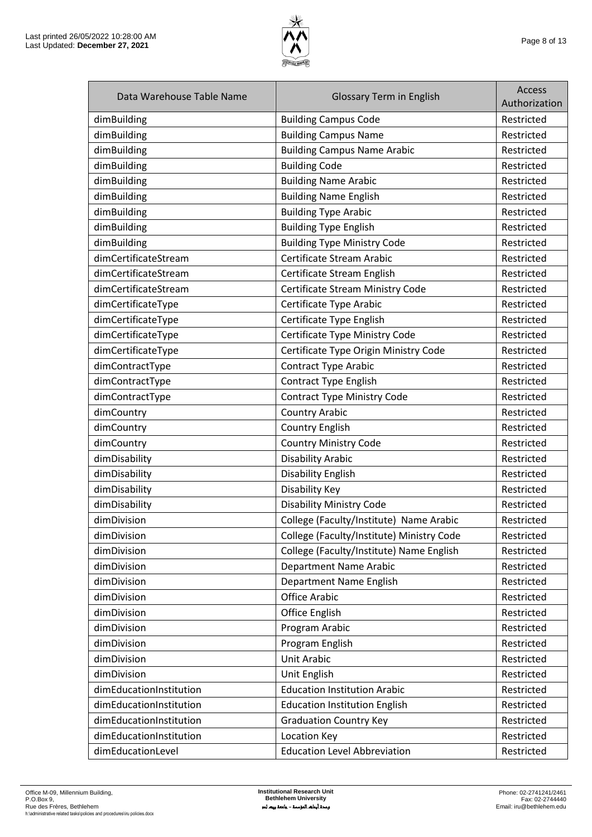

| Data Warehouse Table Name | <b>Glossary Term in English</b>           | <b>Access</b><br>Authorization |
|---------------------------|-------------------------------------------|--------------------------------|
| dimBuilding               | <b>Building Campus Code</b>               | Restricted                     |
| dimBuilding               | <b>Building Campus Name</b>               | Restricted                     |
| dimBuilding               | <b>Building Campus Name Arabic</b>        | Restricted                     |
| dimBuilding               | <b>Building Code</b>                      | Restricted                     |
| dimBuilding               | <b>Building Name Arabic</b>               | Restricted                     |
| dimBuilding               | <b>Building Name English</b>              | Restricted                     |
| dimBuilding               | <b>Building Type Arabic</b>               | Restricted                     |
| dimBuilding               | <b>Building Type English</b>              | Restricted                     |
| dimBuilding               | <b>Building Type Ministry Code</b>        | Restricted                     |
| dimCertificateStream      | Certificate Stream Arabic                 | Restricted                     |
| dimCertificateStream      | Certificate Stream English                | Restricted                     |
| dimCertificateStream      | Certificate Stream Ministry Code          | Restricted                     |
| dimCertificateType        | Certificate Type Arabic                   | Restricted                     |
| dimCertificateType        | Certificate Type English                  | Restricted                     |
| dimCertificateType        | Certificate Type Ministry Code            | Restricted                     |
| dimCertificateType        | Certificate Type Origin Ministry Code     | Restricted                     |
| dimContractType           | <b>Contract Type Arabic</b>               | Restricted                     |
| dimContractType           | <b>Contract Type English</b>              | Restricted                     |
| dimContractType           | <b>Contract Type Ministry Code</b>        | Restricted                     |
| dimCountry                | <b>Country Arabic</b>                     | Restricted                     |
| dimCountry                | <b>Country English</b>                    | Restricted                     |
| dimCountry                | <b>Country Ministry Code</b>              | Restricted                     |
| dimDisability             | <b>Disability Arabic</b>                  | Restricted                     |
| dimDisability             | <b>Disability English</b>                 | Restricted                     |
| dimDisability             | Disability Key                            | Restricted                     |
| dimDisability             | <b>Disability Ministry Code</b>           | Restricted                     |
| dimDivision               | College (Faculty/Institute) Name Arabic   | Restricted                     |
| dimDivision               | College (Faculty/Institute) Ministry Code | Restricted                     |
| dimDivision               | College (Faculty/Institute) Name English  | Restricted                     |
| dimDivision               | <b>Department Name Arabic</b>             | Restricted                     |
| dimDivision               | Department Name English                   | Restricted                     |
| dimDivision               | <b>Office Arabic</b>                      | Restricted                     |
| dimDivision               | <b>Office English</b>                     | Restricted                     |
| dimDivision               | Program Arabic                            | Restricted                     |
| dimDivision               | Program English                           | Restricted                     |
| dimDivision               | <b>Unit Arabic</b>                        | Restricted                     |
| dimDivision               | Unit English                              | Restricted                     |
| dimEducationInstitution   | <b>Education Institution Arabic</b>       | Restricted                     |
| dimEducationInstitution   | <b>Education Institution English</b>      | Restricted                     |
| dimEducationInstitution   | <b>Graduation Country Key</b>             | Restricted                     |
| dimEducationInstitution   | Location Key                              | Restricted                     |
| dimEducationLevel         | <b>Education Level Abbreviation</b>       | Restricted                     |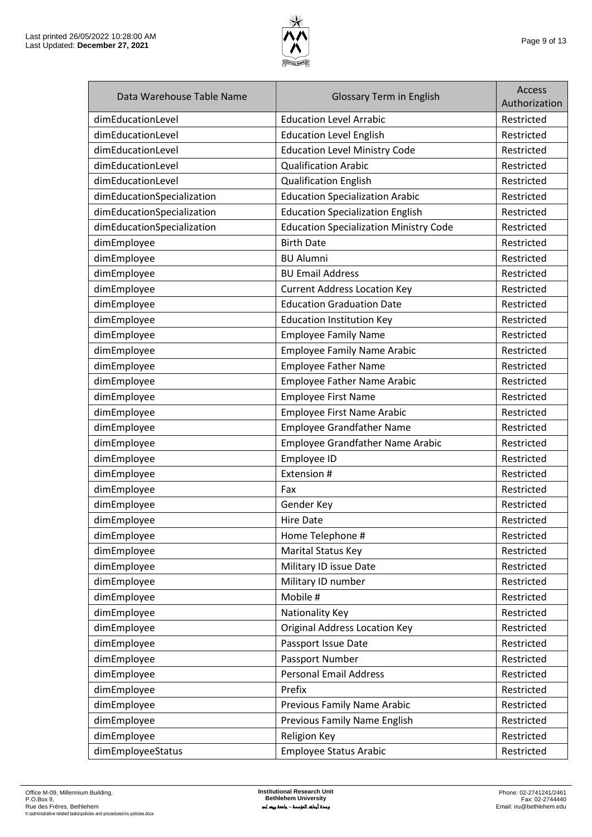

| Data Warehouse Table Name  | <b>Glossary Term in English</b>               | <b>Access</b><br>Authorization |
|----------------------------|-----------------------------------------------|--------------------------------|
| dimEducationLevel          | <b>Education Level Arrabic</b>                | Restricted                     |
| dimEducationLevel          | <b>Education Level English</b>                | Restricted                     |
| dimEducationLevel          | <b>Education Level Ministry Code</b>          | Restricted                     |
| dimEducationLevel          | <b>Qualification Arabic</b>                   | Restricted                     |
| dimEducationLevel          | <b>Qualification English</b>                  | Restricted                     |
| dimEducationSpecialization | <b>Education Specialization Arabic</b>        | Restricted                     |
| dimEducationSpecialization | <b>Education Specialization English</b>       | Restricted                     |
| dimEducationSpecialization | <b>Education Specialization Ministry Code</b> | Restricted                     |
| dimEmployee                | <b>Birth Date</b>                             | Restricted                     |
| dimEmployee                | <b>BU Alumni</b>                              | Restricted                     |
| dimEmployee                | <b>BU Email Address</b>                       | Restricted                     |
| dimEmployee                | <b>Current Address Location Key</b>           | Restricted                     |
| dimEmployee                | <b>Education Graduation Date</b>              | Restricted                     |
| dimEmployee                | <b>Education Institution Key</b>              | Restricted                     |
| dimEmployee                | <b>Employee Family Name</b>                   | Restricted                     |
| dimEmployee                | <b>Employee Family Name Arabic</b>            | Restricted                     |
| dimEmployee                | <b>Employee Father Name</b>                   | Restricted                     |
| dimEmployee                | <b>Employee Father Name Arabic</b>            | Restricted                     |
| dimEmployee                | <b>Employee First Name</b>                    | Restricted                     |
| dimEmployee                | Employee First Name Arabic                    | Restricted                     |
| dimEmployee                | <b>Employee Grandfather Name</b>              | Restricted                     |
| dimEmployee                | Employee Grandfather Name Arabic              | Restricted                     |
| dimEmployee                | Employee ID                                   | Restricted                     |
| dimEmployee                | Extension #                                   | Restricted                     |
| dimEmployee                | Fax                                           | Restricted                     |
| dimEmployee                | Gender Key                                    | Restricted                     |
| dimEmployee                | <b>Hire Date</b>                              | Restricted                     |
| dimEmployee                | Home Telephone #                              | Restricted                     |
| dimEmployee                | Marital Status Key                            | Restricted                     |
| dimEmployee                | Military ID issue Date                        | Restricted                     |
| dimEmployee                | Military ID number                            | Restricted                     |
| dimEmployee                | Mobile #                                      | Restricted                     |
| dimEmployee                | Nationality Key                               | Restricted                     |
| dimEmployee                | <b>Original Address Location Key</b>          | Restricted                     |
| dimEmployee                | Passport Issue Date                           | Restricted                     |
| dimEmployee                | Passport Number                               | Restricted                     |
| dimEmployee                | <b>Personal Email Address</b>                 | Restricted                     |
| dimEmployee                | Prefix                                        | Restricted                     |
| dimEmployee                | Previous Family Name Arabic                   | Restricted                     |
| dimEmployee                | Previous Family Name English                  | Restricted                     |
| dimEmployee                | <b>Religion Key</b>                           | Restricted                     |
| dimEmployeeStatus          | <b>Employee Status Arabic</b>                 | Restricted                     |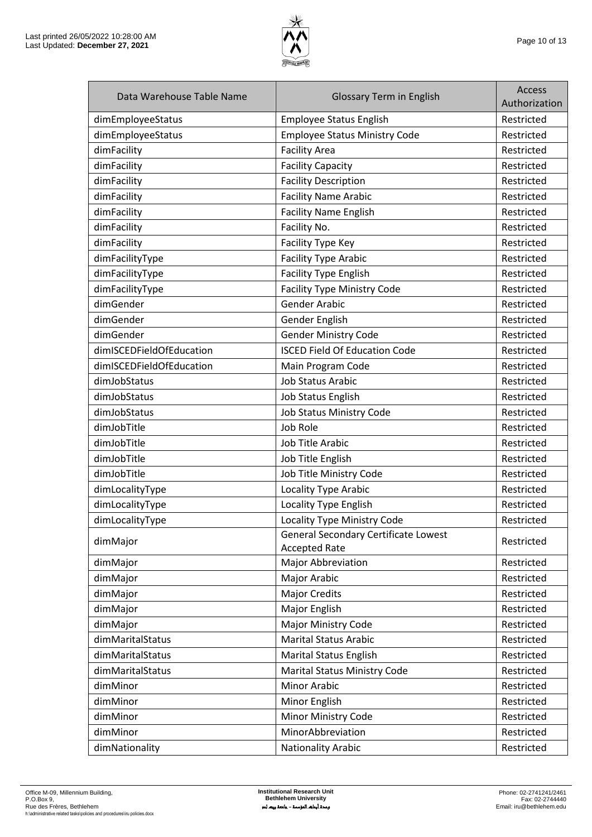

| Data Warehouse Table Name | <b>Glossary Term in English</b>                              | <b>Access</b><br>Authorization |
|---------------------------|--------------------------------------------------------------|--------------------------------|
| dimEmployeeStatus         | <b>Employee Status English</b>                               | Restricted                     |
| dimEmployeeStatus         | <b>Employee Status Ministry Code</b>                         | Restricted                     |
| dimFacility               | <b>Facility Area</b>                                         | Restricted                     |
| dimFacility               | <b>Facility Capacity</b>                                     | Restricted                     |
| dimFacility               | <b>Facility Description</b>                                  | Restricted                     |
| dimFacility               | <b>Facility Name Arabic</b>                                  | Restricted                     |
| dimFacility               | <b>Facility Name English</b>                                 | Restricted                     |
| dimFacility               | Facility No.                                                 | Restricted                     |
| dimFacility               | Facility Type Key                                            | Restricted                     |
| dimFacilityType           | <b>Facility Type Arabic</b>                                  | Restricted                     |
| dimFacilityType           | <b>Facility Type English</b>                                 | Restricted                     |
| dimFacilityType           | <b>Facility Type Ministry Code</b>                           | Restricted                     |
| dimGender                 | <b>Gender Arabic</b>                                         | Restricted                     |
| dimGender                 | Gender English                                               | Restricted                     |
| dimGender                 | <b>Gender Ministry Code</b>                                  | Restricted                     |
| dimISCEDFieldOfEducation  | <b>ISCED Field Of Education Code</b>                         | Restricted                     |
| dimISCEDFieldOfEducation  | Main Program Code                                            | Restricted                     |
| dimJobStatus              | <b>Job Status Arabic</b>                                     | Restricted                     |
| dimJobStatus              | <b>Job Status English</b>                                    | Restricted                     |
| dimJobStatus              | Job Status Ministry Code                                     | Restricted                     |
| dimJobTitle               | Job Role                                                     | Restricted                     |
| dimJobTitle               | Job Title Arabic                                             | Restricted                     |
| dimJobTitle               | Job Title English                                            | Restricted                     |
| dimJobTitle               | Job Title Ministry Code                                      | Restricted                     |
| dimLocalityType           | Locality Type Arabic                                         | Restricted                     |
| dimLocalityType           | Locality Type English                                        | Restricted                     |
| dimLocalityType           | Locality Type Ministry Code                                  | Restricted                     |
| dimMajor                  | General Secondary Certificate Lowest<br><b>Accepted Rate</b> | Restricted                     |
| dimMajor                  | Major Abbreviation                                           | Restricted                     |
| dimMajor                  | Major Arabic                                                 | Restricted                     |
| dimMajor                  | <b>Major Credits</b>                                         | Restricted                     |
| dimMajor                  | Major English                                                | Restricted                     |
| dimMajor                  | Major Ministry Code                                          | Restricted                     |
| dimMaritalStatus          | <b>Marital Status Arabic</b>                                 | Restricted                     |
| dimMaritalStatus          | <b>Marital Status English</b>                                | Restricted                     |
| dimMaritalStatus          | <b>Marital Status Ministry Code</b>                          | Restricted                     |
| dimMinor                  | <b>Minor Arabic</b>                                          | Restricted                     |
| dimMinor                  | Minor English                                                | Restricted                     |
| dimMinor                  | Minor Ministry Code                                          | Restricted                     |
| dimMinor                  | MinorAbbreviation                                            | Restricted                     |
| dimNationality            | <b>Nationality Arabic</b>                                    | Restricted                     |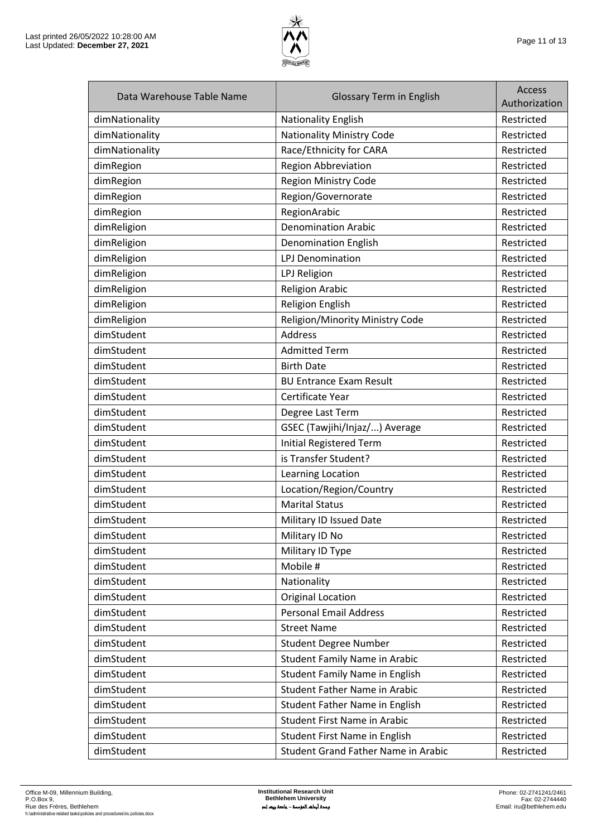

| Data Warehouse Table Name | <b>Glossary Term in English</b>       | Access<br>Authorization |
|---------------------------|---------------------------------------|-------------------------|
| dimNationality            | Nationality English                   | Restricted              |
| dimNationality            | <b>Nationality Ministry Code</b>      | Restricted              |
| dimNationality            | Race/Ethnicity for CARA               | Restricted              |
| dimRegion                 | <b>Region Abbreviation</b>            | Restricted              |
| dimRegion                 | Region Ministry Code                  | Restricted              |
| dimRegion                 | Region/Governorate                    | Restricted              |
| dimRegion                 | RegionArabic                          | Restricted              |
| dimReligion               | <b>Denomination Arabic</b>            | Restricted              |
| dimReligion               | <b>Denomination English</b>           | Restricted              |
| dimReligion               | <b>LPJ Denomination</b>               | Restricted              |
| dimReligion               | LPJ Religion                          | Restricted              |
| dimReligion               | <b>Religion Arabic</b>                | Restricted              |
| dimReligion               | Religion English                      | Restricted              |
| dimReligion               | Religion/Minority Ministry Code       | Restricted              |
| dimStudent                | Address                               | Restricted              |
| dimStudent                | <b>Admitted Term</b>                  | Restricted              |
| dimStudent                | <b>Birth Date</b>                     | Restricted              |
| dimStudent                | <b>BU Entrance Exam Result</b>        | Restricted              |
| dimStudent                | Certificate Year                      | Restricted              |
| dimStudent                | Degree Last Term                      | Restricted              |
| dimStudent                | GSEC (Tawjihi/Injaz/) Average         | Restricted              |
| dimStudent                | <b>Initial Registered Term</b>        | Restricted              |
| dimStudent                | is Transfer Student?                  | Restricted              |
| dimStudent                | Learning Location                     | Restricted              |
| dimStudent                | Location/Region/Country               | Restricted              |
| dimStudent                | <b>Marital Status</b>                 | Restricted              |
| dimStudent                | Military ID Issued Date               | Restricted              |
| dimStudent                | Military ID No                        | Restricted              |
| dimStudent                | Military ID Type                      | Restricted              |
| dimStudent                | Mobile #                              | Restricted              |
| dimStudent                | Nationality                           | Restricted              |
| dimStudent                | <b>Original Location</b>              | Restricted              |
| dimStudent                | <b>Personal Email Address</b>         | Restricted              |
| dimStudent                | <b>Street Name</b>                    | Restricted              |
| dimStudent                | <b>Student Degree Number</b>          | Restricted              |
| dimStudent                | <b>Student Family Name in Arabic</b>  | Restricted              |
| dimStudent                | <b>Student Family Name in English</b> | Restricted              |
| dimStudent                | <b>Student Father Name in Arabic</b>  | Restricted              |
| dimStudent                | Student Father Name in English        | Restricted              |
| dimStudent                | <b>Student First Name in Arabic</b>   | Restricted              |
| dimStudent                | Student First Name in English         | Restricted              |
| dimStudent                | Student Grand Father Name in Arabic   | Restricted              |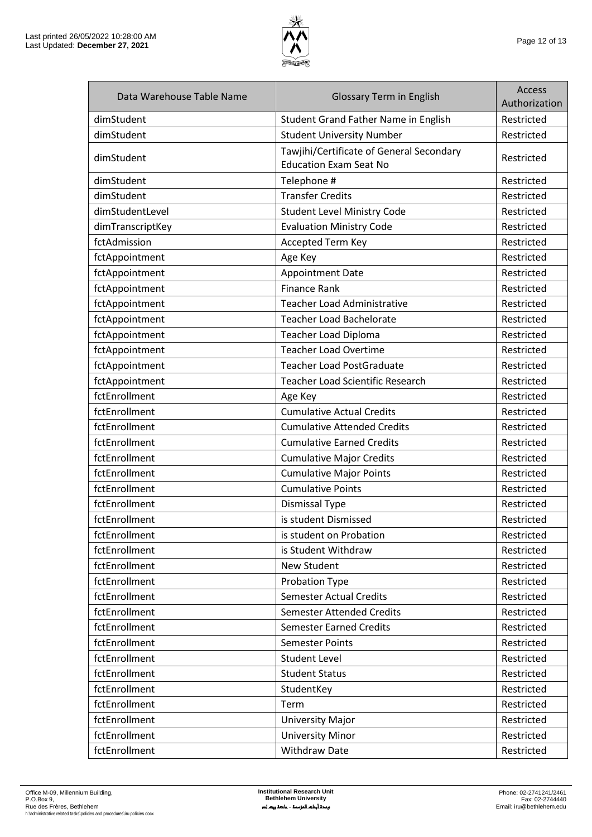

| Data Warehouse Table Name | <b>Glossary Term in English</b>                                           | <b>Access</b><br>Authorization |
|---------------------------|---------------------------------------------------------------------------|--------------------------------|
| dimStudent                | Student Grand Father Name in English                                      | Restricted                     |
| dimStudent                | <b>Student University Number</b>                                          | Restricted                     |
| dimStudent                | Tawjihi/Certificate of General Secondary<br><b>Education Exam Seat No</b> | Restricted                     |
| dimStudent                | Telephone #                                                               | Restricted                     |
| dimStudent                | <b>Transfer Credits</b>                                                   | Restricted                     |
| dimStudentLevel           | <b>Student Level Ministry Code</b>                                        | Restricted                     |
| dimTranscriptKey          | <b>Evaluation Ministry Code</b>                                           | Restricted                     |
| fctAdmission              | Accepted Term Key                                                         | Restricted                     |
| fctAppointment            | Age Key                                                                   | Restricted                     |
| fctAppointment            | <b>Appointment Date</b>                                                   | Restricted                     |
| fctAppointment            | <b>Finance Rank</b>                                                       | Restricted                     |
| fctAppointment            | <b>Teacher Load Administrative</b>                                        | Restricted                     |
| fctAppointment            | <b>Teacher Load Bachelorate</b>                                           | Restricted                     |
| fctAppointment            | Teacher Load Diploma                                                      | Restricted                     |
| fctAppointment            | <b>Teacher Load Overtime</b>                                              | Restricted                     |
| fctAppointment            | <b>Teacher Load PostGraduate</b>                                          | Restricted                     |
| fctAppointment            | <b>Teacher Load Scientific Research</b>                                   | Restricted                     |
| fctEnrollment             | Age Key                                                                   | Restricted                     |
| fctEnrollment             | <b>Cumulative Actual Credits</b>                                          | Restricted                     |
| fctEnrollment             | <b>Cumulative Attended Credits</b>                                        | Restricted                     |
| fctEnrollment             | <b>Cumulative Earned Credits</b>                                          | Restricted                     |
| fctEnrollment             | <b>Cumulative Major Credits</b>                                           | Restricted                     |
| fctEnrollment             | <b>Cumulative Major Points</b>                                            | Restricted                     |
| fctEnrollment             | <b>Cumulative Points</b>                                                  | Restricted                     |
| fctEnrollment             | <b>Dismissal Type</b>                                                     | Restricted                     |
| fctEnrollment             | is student Dismissed                                                      | Restricted                     |
| fctEnrollment             | is student on Probation                                                   | Restricted                     |
| fctEnrollment             | is Student Withdraw                                                       | Restricted                     |
| fctEnrollment             | New Student                                                               | Restricted                     |
| fctEnrollment             | Probation Type                                                            | Restricted                     |
| fctEnrollment             | <b>Semester Actual Credits</b>                                            | Restricted                     |
| fctEnrollment             | <b>Semester Attended Credits</b>                                          | Restricted                     |
| fctEnrollment             | <b>Semester Earned Credits</b>                                            | Restricted                     |
| fctEnrollment             | <b>Semester Points</b>                                                    | Restricted                     |
| fctEnrollment             | <b>Student Level</b>                                                      | Restricted                     |
| fctEnrollment             | <b>Student Status</b>                                                     | Restricted                     |
| fctEnrollment             | StudentKey                                                                | Restricted                     |
| fctEnrollment             | Term                                                                      | Restricted                     |
| fctEnrollment             | <b>University Major</b>                                                   | Restricted                     |
| fctEnrollment             | <b>University Minor</b>                                                   | Restricted                     |
| fctEnrollment             | <b>Withdraw Date</b>                                                      | Restricted                     |